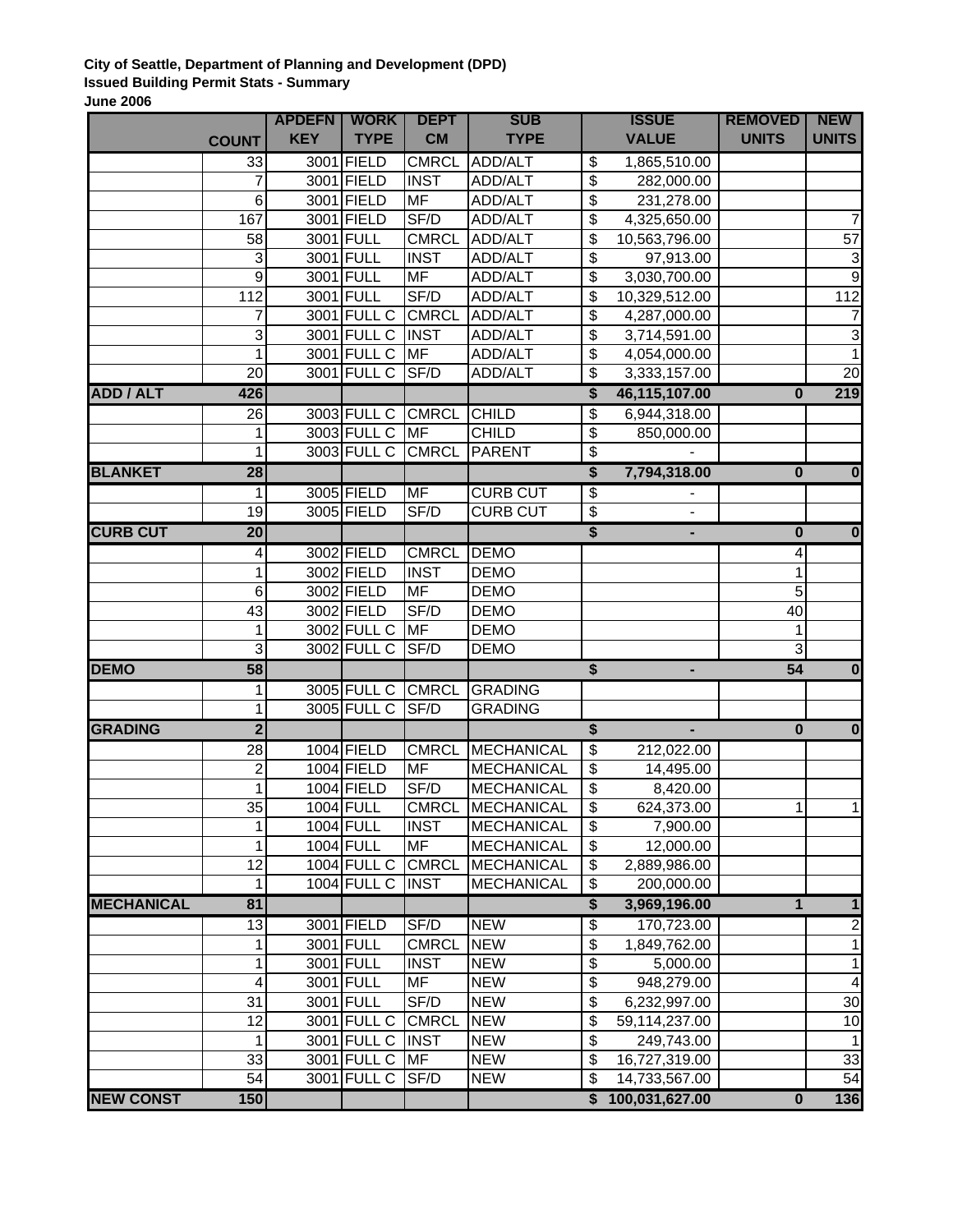## **City of Seattle, Department of Planning and Development (DPD) Issued Building Permit Stats - Summary June 2006**

|                   |                           | <b>APDEFN</b> | <b>WORK</b>       | <b>DEPT</b>  | <b>SUB</b>        | <b>ISSUE</b>                     |                  | <b>REMOVED</b>          | <b>NEW</b>              |
|-------------------|---------------------------|---------------|-------------------|--------------|-------------------|----------------------------------|------------------|-------------------------|-------------------------|
|                   | <b>COUNT</b>              | <b>KEY</b>    | <b>TYPE</b>       | <b>CM</b>    | <b>TYPE</b>       |                                  | <b>VALUE</b>     | <b>UNITS</b>            | <b>UNITS</b>            |
|                   | 33                        |               | 3001 FIELD        | <b>CMRCL</b> | ADD/ALT           | \$                               | 1,865,510.00     |                         |                         |
|                   | 7                         |               | 3001 FIELD        | <b>INST</b>  | ADD/ALT           | $\overline{\boldsymbol{\theta}}$ | 282,000.00       |                         |                         |
|                   | 6                         |               | 3001 FIELD        | <b>MF</b>    | ADD/ALT           | $\overline{\boldsymbol{\theta}}$ | 231,278.00       |                         |                         |
|                   | 167                       |               | 3001 FIELD        | SF/D         | ADD/ALT           | $\overline{\mathbf{3}}$          | 4,325,650.00     |                         | 7                       |
|                   | 58                        |               | 3001 FULL         | <b>CMRCL</b> | ADD/ALT           | \$                               | 10,563,796.00    |                         | 57                      |
|                   | $\ensuremath{\mathsf{3}}$ |               | 3001 FULL         | <b>INST</b>  | ADD/ALT           | $\overline{\mathbf{3}}$          | 97,913.00        |                         | $\mathbf{3}$            |
|                   | $\boldsymbol{9}$          |               | 3001 FULL         | <b>MF</b>    | ADD/ALT           | $\overline{\mathbf{3}}$          | 3,030,700.00     |                         | 9                       |
|                   | 112                       |               | 3001 FULL         | SF/D         | ADD/ALT           | $\overline{\mathbf{3}}$          | 10,329,512.00    |                         | 112                     |
|                   | 7                         |               | 3001 FULL C       | <b>CMRCL</b> | ADD/ALT           | \$                               | 4,287,000.00     |                         |                         |
|                   | $\ensuremath{\mathsf{3}}$ |               | 3001 FULL C       | <b>INST</b>  | ADD/ALT           | \$                               | 3,714,591.00     |                         | 3                       |
|                   | 1                         |               | 3001 FULL C       | <b>MF</b>    | ADD/ALT           | $\overline{\boldsymbol{\theta}}$ | 4,054,000.00     |                         |                         |
|                   | 20                        |               | 3001 FULL C       | SF/D         | ADD/ALT           | \$                               | 3,333,157.00     |                         | 20                      |
| <b>ADD / ALT</b>  | 426                       |               |                   |              |                   | \$                               | 46,115,107.00    | $\bf{0}$                | 219                     |
|                   | 26                        |               | 3003 FULL C       | <b>CMRCL</b> | <b>CHILD</b>      | \$                               | 6,944,318.00     |                         |                         |
|                   | 1                         |               | 3003 FULL C       | <b>MF</b>    | <b>CHILD</b>      | $\overline{\boldsymbol{\theta}}$ | 850,000.00       |                         |                         |
|                   | 1                         |               | 3003 FULL C       | <b>CMRCL</b> | <b>PARENT</b>     | $\overline{\boldsymbol{\theta}}$ |                  |                         |                         |
| <b>BLANKET</b>    | 28                        |               |                   |              |                   | $\overline{\$}$                  | 7,794,318.00     | $\bf{0}$                | $\bf{0}$                |
|                   | 1                         |               | 3005 FIELD        | <b>MF</b>    | <b>CURB CUT</b>   | $\overline{\mathcal{E}}$         |                  |                         |                         |
|                   | 19                        |               | 3005 FIELD        | SF/D         | <b>CURB CUT</b>   | \$                               |                  |                         |                         |
| <b>CURB CUT</b>   | $\overline{20}$           |               |                   |              |                   | \$                               | ٠                | $\bf{0}$                | $\bf{0}$                |
|                   | 4                         |               | 3002 FIELD        | <b>CMRCL</b> | <b>DEMO</b>       |                                  |                  | 4                       |                         |
|                   | 1                         |               | 3002 FIELD        | <b>INST</b>  | <b>DEMO</b>       |                                  |                  | 1                       |                         |
|                   | 6                         |               | 3002 FIELD        | <b>MF</b>    | <b>DEMO</b>       |                                  |                  | 5                       |                         |
|                   | 43                        |               | 3002 FIELD        | SF/D         | <b>DEMO</b>       |                                  |                  | 40                      |                         |
|                   | 1                         |               | 3002 FULL C       | <b>MF</b>    | <b>DEMO</b>       |                                  |                  | 1                       |                         |
|                   | 3                         |               | 3002 FULL C       | SF/D         | <b>DEMO</b>       |                                  |                  | 3                       |                         |
| <b>DEMO</b>       | 58                        |               |                   |              |                   | $\overline{\$}$                  | ٠                | 54                      | $\overline{\mathbf{0}}$ |
|                   | 1                         |               | 3005 FULL C       | <b>CMRCL</b> | <b>GRADING</b>    |                                  |                  |                         |                         |
|                   | 1                         |               | 3005 FULL C       | SF/D         | <b>GRADING</b>    |                                  |                  |                         |                         |
| <b>GRADING</b>    | $\overline{2}$            |               |                   |              |                   | $\overline{\mathbf{s}}$          |                  | $\bf{0}$                | $\bf{0}$                |
|                   | $\overline{28}$           |               | 1004 FIELD        | <b>CMRCL</b> | <b>MECHANICAL</b> | $\overline{\$}$                  | 212,022.00       |                         |                         |
|                   | $\boldsymbol{2}$          |               | 1004 FIELD        | <b>MF</b>    | <b>MECHANICAL</b> | \$                               | 14,495.00        |                         |                         |
|                   | 1                         |               | 1004 FIELD        | SF/D         | <b>MECHANICAL</b> | $\overline{\boldsymbol{\theta}}$ | 8,420.00         |                         |                         |
|                   | 35                        |               | 1004 FULL         | <b>CMRCL</b> | MECHANICAL        | \$                               | 624,373.00       | 1                       | 1                       |
|                   | 1                         |               | $1004$ FULL       | <b>INST</b>  | <b>MECHANICAL</b> | \$                               | 7,900.00         |                         |                         |
|                   | 1                         |               | 1004 FULL         | <b>MF</b>    | <b>MECHANICAL</b> | $\boldsymbol{\mathsf{S}}$        | 12,000.00        |                         |                         |
|                   | 12                        |               | 1004 FULL C CMRCL |              | <b>MECHANICAL</b> | \$                               | 2,889,986.00     |                         |                         |
|                   | 1                         |               | 1004 FULL C INST  |              | <b>MECHANICAL</b> | $\boldsymbol{\theta}$            | 200,000.00       |                         |                         |
| <b>MECHANICAL</b> | 81                        |               |                   |              |                   | \$                               | 3,969,196.00     | 1                       | $\mathbf{1}$            |
|                   | 13                        |               | 3001 FIELD        | SF/D         | <b>NEW</b>        | $\overline{\mathcal{E}}$         | 170,723.00       |                         | $\overline{2}$          |
|                   | 1                         |               | 3001 FULL         | <b>CMRCL</b> | <b>NEW</b>        | \$                               | 1,849,762.00     |                         | $\mathbf{1}$            |
|                   | 1                         |               | 3001 FULL         | <b>INST</b>  | <b>NEW</b>        | $\overline{\mathbf{S}}$          | 5,000.00         |                         | $\mathbf{1}$            |
|                   | 4                         |               | 3001 FULL         | <b>MF</b>    | <b>NEW</b>        | $\overline{\mathbf{S}}$          | 948,279.00       |                         | 4                       |
|                   | 31                        |               | 3001 FULL         | SF/D         | <b>NEW</b>        | \$                               | 6,232,997.00     |                         | $\overline{30}$         |
|                   | 12                        |               | 3001 FULL C       | <b>CMRCL</b> | <b>NEW</b>        | \$                               | 59,114,237.00    |                         | $\overline{10}$         |
|                   | 1                         |               | 3001 FULL C       | <b>INST</b>  | <b>NEW</b>        | $\overline{\boldsymbol{\theta}}$ | 249,743.00       |                         | $\mathbf{1}$            |
|                   | 33                        |               | 3001 FULL C       | <b>MF</b>    | <b>NEW</b>        | \$                               | 16,727,319.00    |                         | 33                      |
|                   | 54                        |               | 3001 FULL C       | SF/D         | <b>NEW</b>        | \$                               | 14,733,567.00    |                         | 54                      |
| <b>NEW CONST</b>  | 150                       |               |                   |              |                   |                                  | \$100,031,627.00 | $\overline{\mathbf{0}}$ | 136                     |
|                   |                           |               |                   |              |                   |                                  |                  |                         |                         |